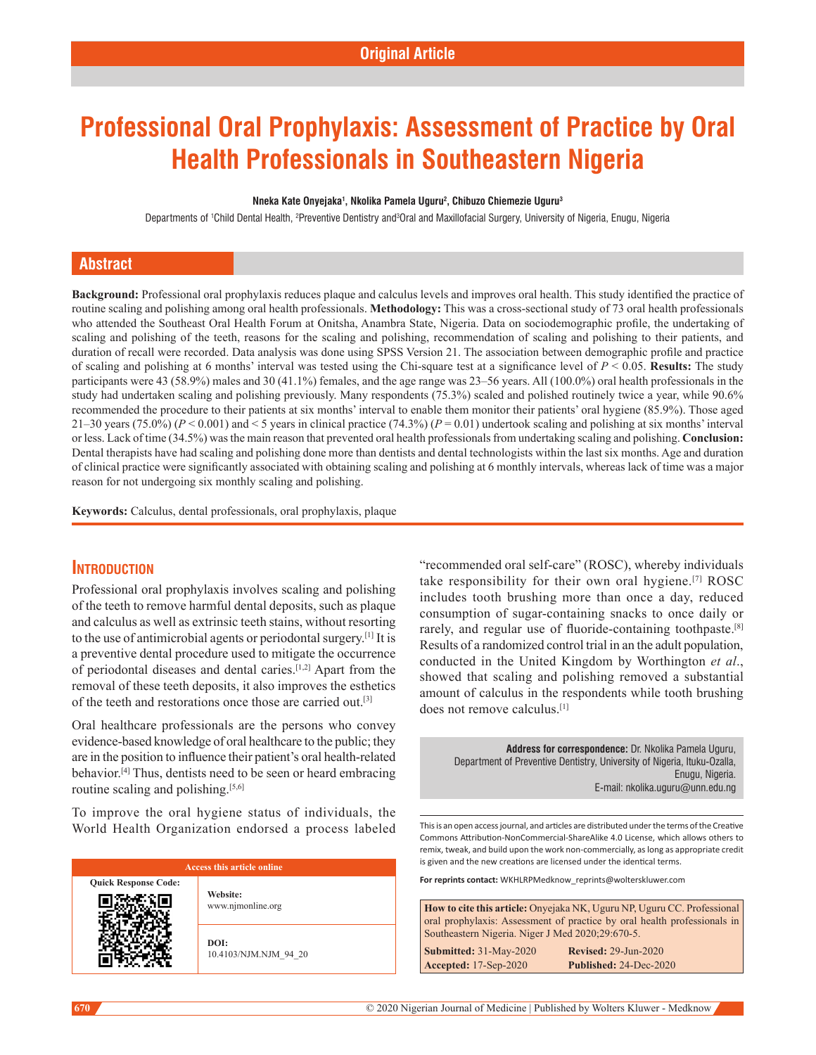# **Professional Oral Prophylaxis: Assessment of Practice by Oral Health Professionals in Southeastern Nigeria**

#### **Nneka Kate Onyejaka1 , Nkolika Pamela Uguru2 , Chibuzo Chiemezie Uguru3**

Departments of †Child Dental Health, ?Preventive Dentistry and<sup>3</sup>Oral and Maxillofacial Surgery, University of Nigeria, Enugu, Nigeria

### **Abstract**

**Background:** Professional oral prophylaxis reduces plaque and calculus levels and improves oral health. This study identified the practice of routine scaling and polishing among oral health professionals. Methodology: This was a cross-sectional study of 73 oral health professionals who attended the Southeast Oral Health Forum at Onitsha, Anambra State, Nigeria. Data on sociodemographic profile, the undertaking of scaling and polishing of the teeth, reasons for the scaling and polishing, recommendation of scaling and polishing to their patients, and duration of recall were recorded. Data analysis was done using SPSS Version 21. The association between demographic profile and practice of scaling and polishing at 6 months' interval was tested using the Chi‑square test at a significance level of *P* < 0.05. **Results:** The study participants were 43 (58.9%) males and 30 (41.1%) females, and the age range was 23–56 years. All (100.0%) oral health professionals in the study had undertaken scaling and polishing previously. Many respondents (75.3%) scaled and polished routinely twice a year, while 90.6% recommended the procedure to their patients at six months' interval to enable them monitor their patients' oral hygiene (85.9%). Those aged 21–30 years (75.0%) ( $P < 0.001$ ) and  $<$  5 years in clinical practice (74.3%) ( $P = 0.01$ ) undertook scaling and polishing at six months' interval or less. Lack of time (34.5%) was the main reason that prevented oral health professionals from undertaking scaling and polishing. **Conclusion:** Dental therapists have had scaling and polishing done more than dentists and dental technologists within the last six months. Age and duration of clinical practice were significantly associated with obtaining scaling and polishing at 6 monthly intervals, whereas lack of time was a major reason for not undergoing six monthly scaling and polishing.

**Keywords:** Calculus, dental professionals, oral prophylaxis, plaque

#### **Introduction**

Professional oral prophylaxis involves scaling and polishing of the teeth to remove harmful dental deposits, such as plaque and calculus as well as extrinsic teeth stains, without resorting to the use of antimicrobial agents or periodontal surgery.[1] It is a preventive dental procedure used to mitigate the occurrence of periodontal diseases and dental caries.[1,2] Apart from the removal of these teeth deposits, it also improves the esthetics of the teeth and restorations once those are carried out.[3]

Oral healthcare professionals are the persons who convey evidence-based knowledge of oral healthcare to the public; they are in the position to influence their patient's oral health-related behavior.[4] Thus, dentists need to be seen or heard embracing routine scaling and polishing.<sup>[5,6]</sup>

To improve the oral hygiene status of individuals, the World Health Organization endorsed a process labeled

| <b>Access this article online</b> |                               |  |  |  |
|-----------------------------------|-------------------------------|--|--|--|
| <b>Quick Response Code:</b>       | Website:<br>www.njmonline.org |  |  |  |
|                                   | DOI:<br>10.4103/NJM.NJM 94 20 |  |  |  |

"recommended oral self-care" (ROSC), whereby individuals take responsibility for their own oral hygiene.[7] ROSC includes tooth brushing more than once a day, reduced consumption of sugar-containing snacks to once daily or rarely, and regular use of fluoride-containing toothpaste.<sup>[8]</sup> Results of a randomized control trial in an the adult population, conducted in the United Kingdom by Worthington *et al*., showed that scaling and polishing removed a substantial amount of calculus in the respondents while tooth brushing does not remove calculus.[1]

**Address for correspondence:** Dr. Nkolika Pamela Uguru, Department of Preventive Dentistry, University of Nigeria, Ituku-Ozalla, Enugu, Nigeria. E-mail: nkolika.uguru@unn.edu.ng

This is an open access journal, and articles are distributed under the terms of the Creative Commons Attribution‑NonCommercial‑ShareAlike 4.0 License, which allows others to remix, tweak, and build upon the work non‑commercially, as long as appropriate credit is given and the new creations are licensed under the identical terms.

**For reprints contact:** WKHLRPMedknow\_reprints@wolterskluwer.com

| <b>How to cite this article:</b> Onyejaka NK, Uguru NP, Uguru CC. Professional |                             |  |  |  |
|--------------------------------------------------------------------------------|-----------------------------|--|--|--|
| oral prophylaxis: Assessment of practice by oral health professionals in       |                             |  |  |  |
| Southeastern Nigeria. Niger J Med 2020;29:670-5.                               |                             |  |  |  |
| <b>Submitted: 31-May-2020</b>                                                  | <b>Revised: 29-Jun-2020</b> |  |  |  |
| Accepted: 17-Sep-2020                                                          | Published: 24-Dec-2020      |  |  |  |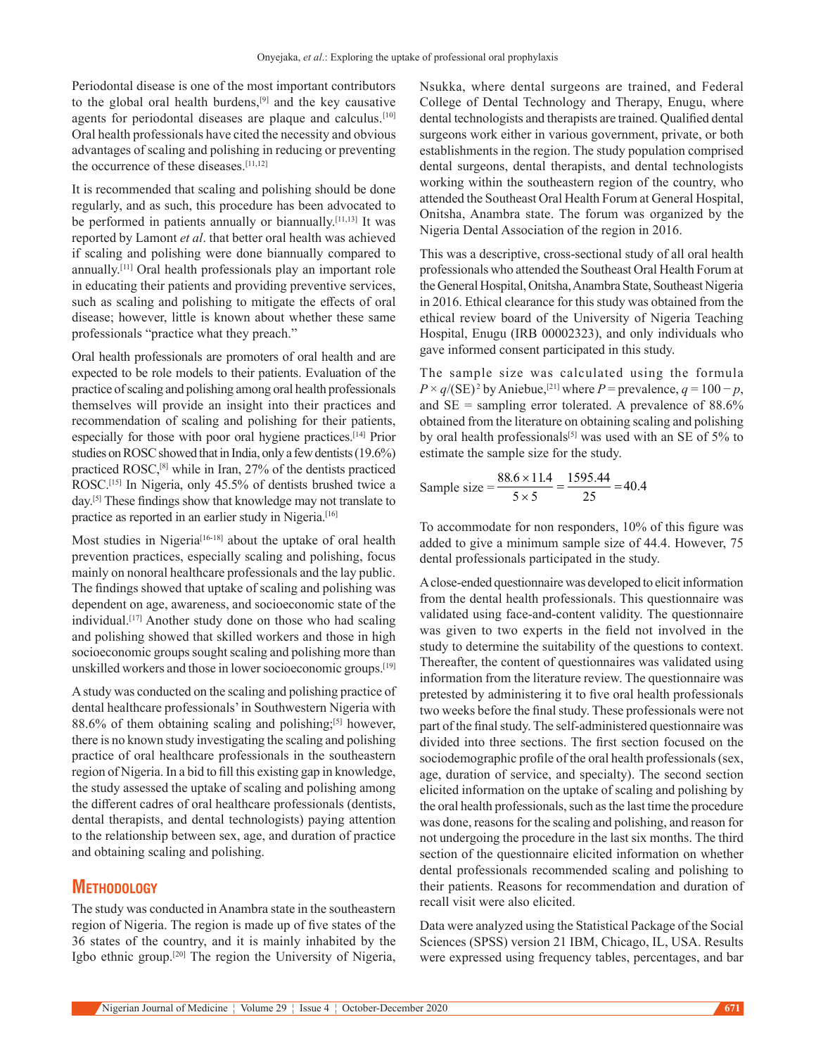Periodontal disease is one of the most important contributors to the global oral health burdens,<sup>[9]</sup> and the key causative agents for periodontal diseases are plaque and calculus.<sup>[10]</sup> Oral health professionals have cited the necessity and obvious advantages of scaling and polishing in reducing or preventing the occurrence of these diseases.[11,12]

It is recommended that scaling and polishing should be done regularly, and as such, this procedure has been advocated to be performed in patients annually or biannually.<sup>[11,13]</sup> It was reported by Lamont *et al*. that better oral health was achieved if scaling and polishing were done biannually compared to annually.[11] Oral health professionals play an important role in educating their patients and providing preventive services, such as scaling and polishing to mitigate the effects of oral disease; however, little is known about whether these same professionals "practice what they preach."

Oral health professionals are promoters of oral health and are expected to be role models to their patients. Evaluation of the practice of scaling and polishing among oral health professionals themselves will provide an insight into their practices and recommendation of scaling and polishing for their patients, especially for those with poor oral hygiene practices.[14] Prior studies on ROSC showed that in India, only a few dentists(19.6%) practiced ROSC,[8] while in Iran, 27% of the dentists practiced ROSC.[15] In Nigeria, only 45.5% of dentists brushed twice a day.[5] These findings show that knowledge may not translate to practice as reported in an earlier study in Nigeria.<sup>[16]</sup>

Most studies in Nigeria<sup>[16-18]</sup> about the uptake of oral health prevention practices, especially scaling and polishing, focus mainly on nonoral healthcare professionals and the lay public. The findings showed that uptake of scaling and polishing was dependent on age, awareness, and socioeconomic state of the individual.[17] Another study done on those who had scaling and polishing showed that skilled workers and those in high socioeconomic groups sought scaling and polishing more than unskilled workers and those in lower socioeconomic groups.[19]

A study was conducted on the scaling and polishing practice of dental healthcare professionals' in Southwestern Nigeria with 88.6% of them obtaining scaling and polishing; $[5]$  however, there is no known study investigating the scaling and polishing practice of oral healthcare professionals in the southeastern region of Nigeria. In a bid to fill this existing gap in knowledge, the study assessed the uptake of scaling and polishing among the different cadres of oral healthcare professionals (dentists, dental therapists, and dental technologists) paying attention to the relationship between sex, age, and duration of practice and obtaining scaling and polishing.

## **Methodology**

The study was conducted in Anambra state in the southeastern region of Nigeria. The region is made up of five states of the 36 states of the country, and it is mainly inhabited by the Igbo ethnic group.[20] The region the University of Nigeria, Nsukka, where dental surgeons are trained, and Federal College of Dental Technology and Therapy, Enugu, where dental technologists and therapists are trained. Qualified dental surgeons work either in various government, private, or both establishments in the region. The study population comprised dental surgeons, dental therapists, and dental technologists working within the southeastern region of the country, who attended the Southeast Oral Health Forum at General Hospital, Onitsha, Anambra state. The forum was organized by the Nigeria Dental Association of the region in 2016.

This was a descriptive, cross-sectional study of all oral health professionals who attended the Southeast Oral Health Forum at the General Hospital, Onitsha, Anambra State, Southeast Nigeria in 2016. Ethical clearance for this study was obtained from the ethical review board of the University of Nigeria Teaching Hospital, Enugu (IRB 00002323), and only individuals who gave informed consent participated in this study.

The sample size was calculated using the formula  $P \times q/(\text{SE})^2$  by Aniebue,<sup>[21]</sup> where  $P =$  prevalence,  $q = 100 - p$ , and SE = sampling error tolerated. A prevalence of 88.6% obtained from the literature on obtaining scaling and polishing by oral health professionals<sup>[5]</sup> was used with an SE of 5% to estimate the sample size for the study.

Sample size = 
$$
\frac{88.6 \times 11.4}{5 \times 5} = \frac{1595.44}{25} = 40.4
$$

To accommodate for non responders, 10% of this figure was added to give a minimum sample size of 44.4. However, 75 dental professionals participated in the study.

A close‑ended questionnaire was developed to elicit information from the dental health professionals. This questionnaire was validated using face-and-content validity. The questionnaire was given to two experts in the field not involved in the study to determine the suitability of the questions to context. Thereafter, the content of questionnaires was validated using information from the literature review. The questionnaire was pretested by administering it to five oral health professionals two weeks before the final study. These professionals were not part of the final study. The self-administered questionnaire was divided into three sections. The first section focused on the sociodemographic profile of the oral health professionals (sex, age, duration of service, and specialty). The second section elicited information on the uptake of scaling and polishing by the oral health professionals, such as the last time the procedure was done, reasons for the scaling and polishing, and reason for not undergoing the procedure in the last six months. The third section of the questionnaire elicited information on whether dental professionals recommended scaling and polishing to their patients. Reasons for recommendation and duration of recall visit were also elicited.

Data were analyzed using the Statistical Package of the Social Sciences (SPSS) version 21 IBM, Chicago, IL, USA. Results were expressed using frequency tables, percentages, and bar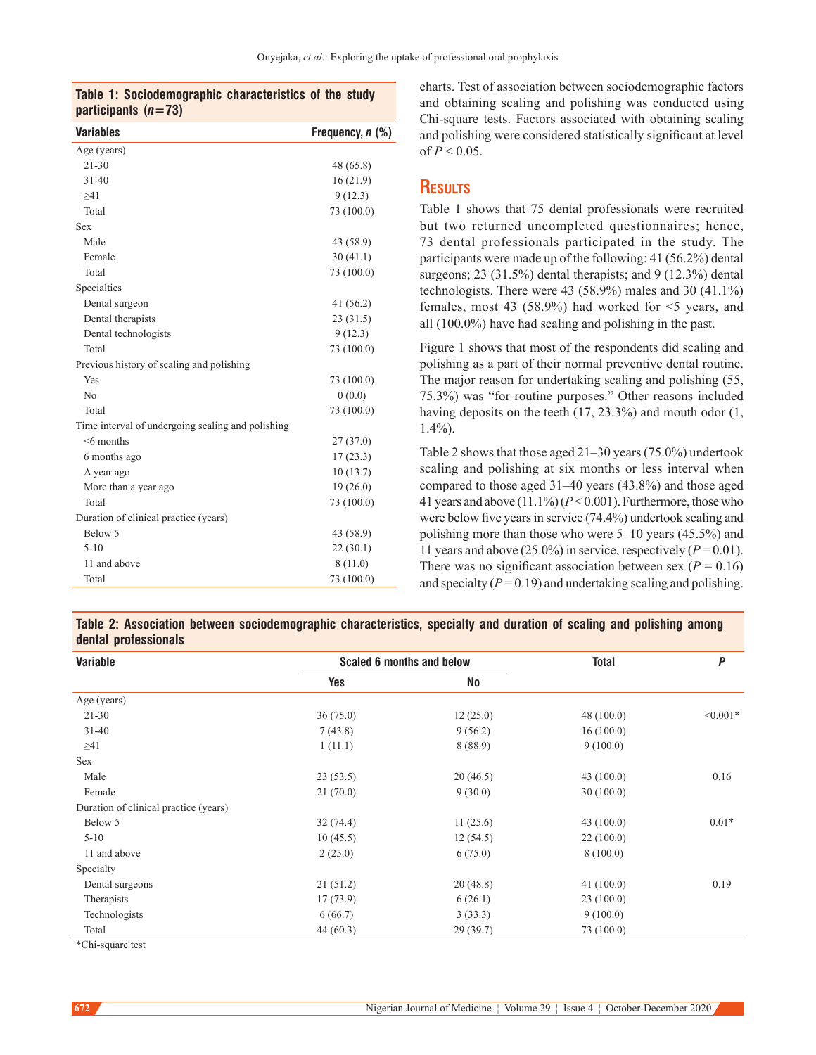#### **Table 1: Sociodemographic characteristics of the study participants (***n***=73)**

| <b>Variables</b>                                  | Frequency, n (%) |  |
|---------------------------------------------------|------------------|--|
| Age (years)                                       |                  |  |
| $21 - 30$                                         | 48 (65.8)        |  |
| $31 - 40$                                         | 16(21.9)         |  |
| >41                                               | 9(12.3)          |  |
| Total                                             | 73 (100.0)       |  |
| Sex                                               |                  |  |
| Male                                              | 43 (58.9)        |  |
| Female                                            | 30(41.1)         |  |
| Total                                             | 73 (100.0)       |  |
| Specialties                                       |                  |  |
| Dental surgeon                                    | 41 (56.2)        |  |
| Dental therapists                                 | 23(31.5)         |  |
| Dental technologists                              | 9(12.3)          |  |
| Total                                             | 73 (100.0)       |  |
| Previous history of scaling and polishing         |                  |  |
| Yes                                               | 73 (100.0)       |  |
| N <sub>0</sub>                                    | 0(0.0)           |  |
| Total                                             | 73 (100.0)       |  |
| Time interval of undergoing scaling and polishing |                  |  |
| $<$ 6 months                                      | 27(37.0)         |  |
| 6 months ago                                      | 17(23.3)         |  |
| A year ago                                        | 10(13.7)         |  |
| More than a year ago                              | 19(26.0)         |  |
| Total                                             | 73 (100.0)       |  |
| Duration of clinical practice (years)             |                  |  |
| Below 5                                           | 43 (58.9)        |  |
| $5 - 10$                                          | 22(30.1)         |  |
| 11 and above                                      | 8(11.0)          |  |
| Total                                             | 73 (100.0)       |  |
|                                                   |                  |  |

charts. Test of association between sociodemographic factors and obtaining scaling and polishing was conducted using Chi-square tests. Factors associated with obtaining scaling and polishing were considered statistically significant at level of  $P < 0.05$ .

## **Results**

Table 1 shows that 75 dental professionals were recruited but two returned uncompleted questionnaires; hence, 73 dental professionals participated in the study. The participants were made up of the following: 41 (56.2%) dental surgeons; 23 (31.5%) dental therapists; and 9 (12.3%) dental technologists. There were 43 (58.9%) males and 30 (41.1%) females, most 43 (58.9%) had worked for <5 years, and all (100.0%) have had scaling and polishing in the past.

Figure 1 shows that most of the respondents did scaling and polishing as a part of their normal preventive dental routine. The major reason for undertaking scaling and polishing (55, 75.3%) was "for routine purposes." Other reasons included having deposits on the teeth (17, 23.3%) and mouth odor (1, 1.4%).

Table 2 shows that those aged 21–30 years(75.0%) undertook scaling and polishing at six months or less interval when compared to those aged 31–40 years (43.8%) and those aged 41 years and above  $(11.1\%)$   $(P<0.001)$ . Furthermore, those who were below five years in service (74.4%) undertook scaling and polishing more than those who were 5–10 years (45.5%) and 11 years and above (25.0%) in service, respectively ( $P = 0.01$ ). There was no significant association between sex ( $P = 0.16$ ) and specialty  $(P = 0.19)$  and undertaking scaling and polishing.

#### **Table 2: Association between sociodemographic characteristics, specialty and duration of scaling and polishing among dental professionals**

| Variable                              | Scaled 6 months and below |          | <b>Total</b> | P          |
|---------------------------------------|---------------------------|----------|--------------|------------|
|                                       | <b>Yes</b>                | No       |              |            |
| Age (years)                           |                           |          |              |            |
| $21 - 30$                             | 36(75.0)                  | 12(25.0) | 48(100.0)    | $< 0.001*$ |
| $31 - 40$                             | 7(43.8)                   | 9(56.2)  | 16(100.0)    |            |
| $\geq 41$                             | 1(11.1)                   | 8(88.9)  | 9(100.0)     |            |
| Sex                                   |                           |          |              |            |
| Male                                  | 23(53.5)                  | 20(46.5) | 43(100.0)    | 0.16       |
| Female                                | 21(70.0)                  | 9(30.0)  | 30(100.0)    |            |
| Duration of clinical practice (years) |                           |          |              |            |
| Below 5                               | 32(74.4)                  | 11(25.6) | 43(100.0)    | $0.01*$    |
| $5 - 10$                              | 10(45.5)                  | 12(54.5) | 22(100.0)    |            |
| 11 and above                          | 2(25.0)                   | 6(75.0)  | 8(100.0)     |            |
| Specialty                             |                           |          |              |            |
| Dental surgeons                       | 21(51.2)                  | 20(48.8) | 41(100.0)    | 0.19       |
| Therapists                            | 17(73.9)                  | 6(26.1)  | 23(100.0)    |            |
| Technologists                         | 6(66.7)                   | 3(33.3)  | 9(100.0)     |            |
| Total                                 | 44(60.3)                  | 29(39.7) | 73 (100.0)   |            |
| $\sqrt{1}$ $\sqrt{1}$ $\sqrt{1}$      |                           |          |              |            |

\*Chi‑square test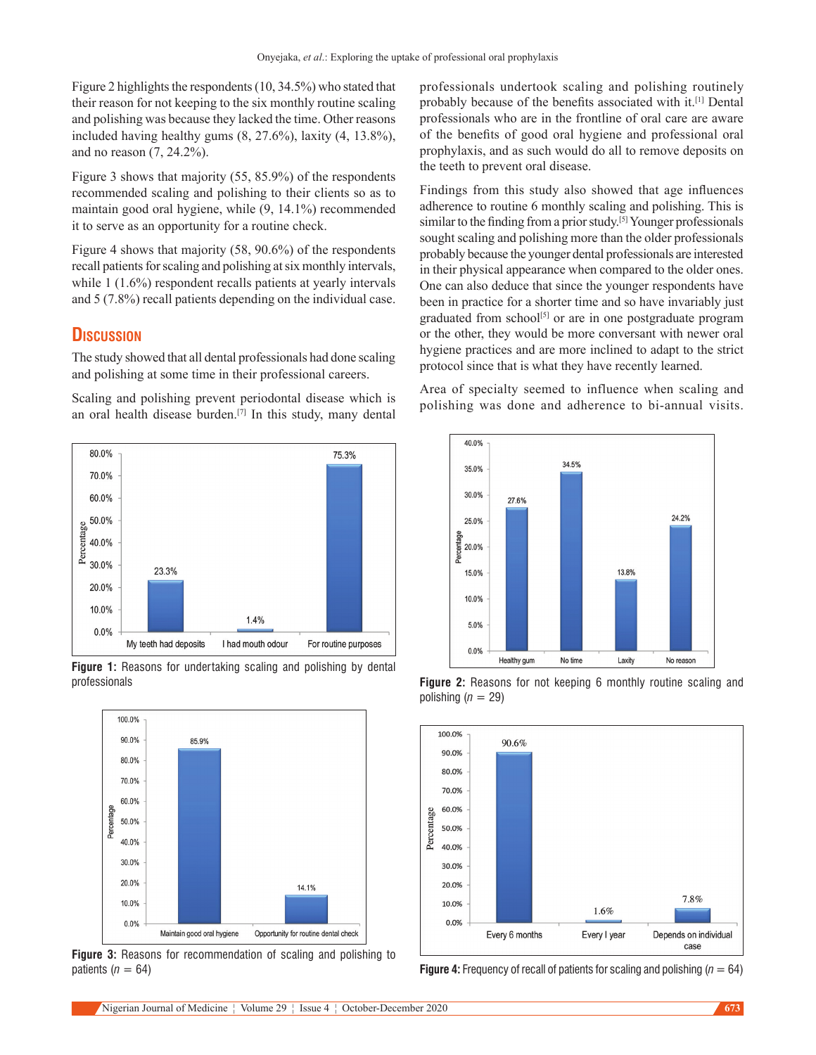Figure 2 highlights the respondents(10, 34.5%) who stated that their reason for not keeping to the six monthly routine scaling and polishing was because they lacked the time. Other reasons included having healthy gums (8, 27.6%), laxity (4, 13.8%), and no reason (7, 24.2%).

Figure 3 shows that majority (55, 85.9%) of the respondents recommended scaling and polishing to their clients so as to maintain good oral hygiene, while (9, 14.1%) recommended it to serve as an opportunity for a routine check.

Figure 4 shows that majority (58, 90.6%) of the respondents recall patients for scaling and polishing at six monthly intervals, while 1 (1.6%) respondent recalls patients at yearly intervals and 5 (7.8%) recall patients depending on the individual case.

## **Discussion**

The study showed that all dental professionals had done scaling and polishing at some time in their professional careers.

Scaling and polishing prevent periodontal disease which is an oral health disease burden.[7] In this study, many dental







**Figure 3:** Reasons for recommendation of scaling and polishing to patients (*n* = 64) **Figure 4:** Frequency of recall of patients for scaling and polishing (*n* = 64)

professionals undertook scaling and polishing routinely probably because of the benefits associated with it.[1] Dental professionals who are in the frontline of oral care are aware of the benefits of good oral hygiene and professional oral prophylaxis, and as such would do all to remove deposits on the teeth to prevent oral disease.

Findings from this study also showed that age influences adherence to routine 6 monthly scaling and polishing. This is similar to the finding from a prior study.<sup>[5]</sup> Younger professionals sought scaling and polishing more than the older professionals probably because the younger dental professionals are interested in their physical appearance when compared to the older ones. One can also deduce that since the younger respondents have been in practice for a shorter time and so have invariably just graduated from school<sup>[5]</sup> or are in one postgraduate program or the other, they would be more conversant with newer oral hygiene practices and are more inclined to adapt to the strict protocol since that is what they have recently learned.

Area of specialty seemed to influence when scaling and polishing was done and adherence to bi‑annual visits.



polishing  $(n = 29)$ 

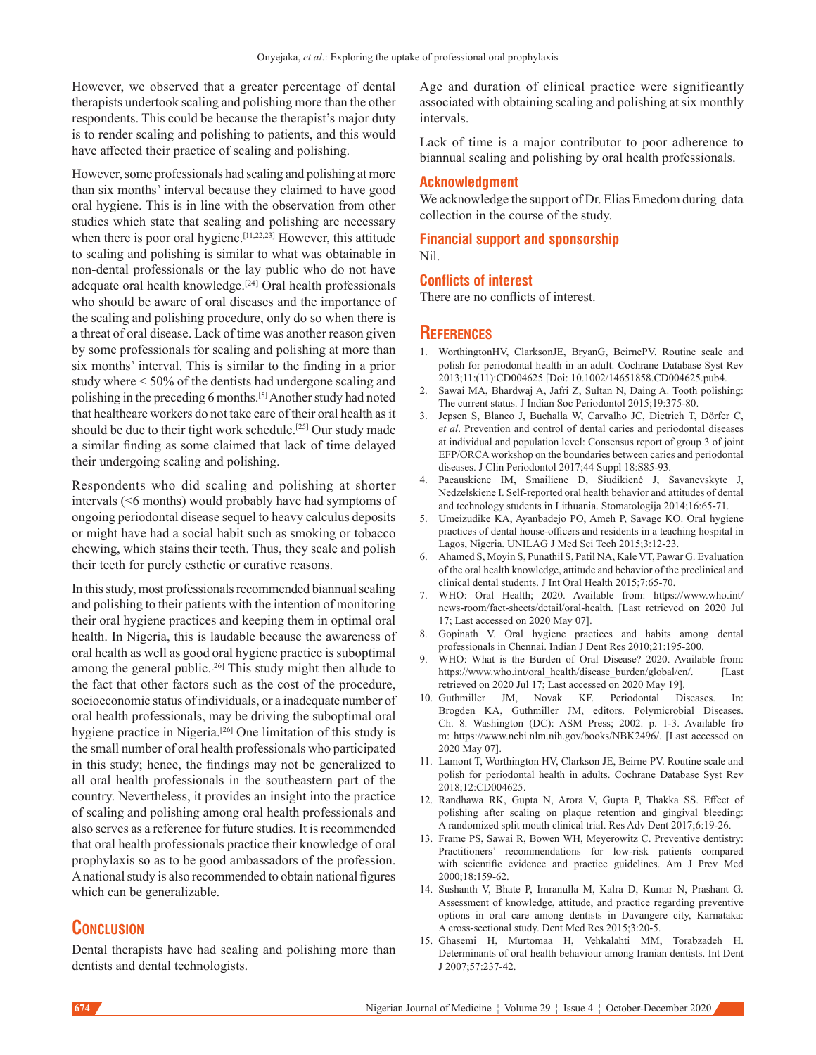However, we observed that a greater percentage of dental therapists undertook scaling and polishing more than the other respondents. This could be because the therapist's major duty is to render scaling and polishing to patients, and this would have affected their practice of scaling and polishing.

However, some professionals had scaling and polishing at more than six months' interval because they claimed to have good oral hygiene. This is in line with the observation from other studies which state that scaling and polishing are necessary when there is poor oral hygiene.<sup>[11,22,23]</sup> However, this attitude to scaling and polishing is similar to what was obtainable in non-dental professionals or the lay public who do not have adequate oral health knowledge.[24 ] Oral health professionals who should be aware of oral diseases and the importance of the scaling and polishing procedure, only do so when there is a threat of oral disease. Lack of time was another reason given by some professionals for scaling and polishing at more than six months' interval. This is similar to the finding in a prior study where < 50% of the dentists had undergone scaling and polishing in the preceding 6 months.[5] Another study had noted that healthcare workers do not take care of their oral health as it should be due to their tight work schedule.<sup>[25]</sup> Our study made a similar finding as some claimed that lack of time delayed their undergoing scaling and polishing.

Respondents who did scaling and polishing at shorter intervals (<6 months) would probably have had symptoms of ongoing periodontal disease sequel to heavy calculus deposits or might have had a social habit such as smoking or tobacco chewing, which stains their teeth. Thus, they scale and polish their teeth for purely esthetic or curative reasons.

In this study, most professionals recommended biannual scaling and polishing to their patients with the intention of monitoring their oral hygiene practices and keeping them in optimal oral health. In Nigeria, this is laudable because the awareness of oral health as well as good oral hygiene practice is suboptimal among the general public.<sup>[26]</sup> This study might then allude to the fact that other factors such as the cost of the procedure, socioeconomic status of individuals, or a inadequate number of oral health professionals, may be driving the suboptimal oral hygiene practice in Nigeria.[26] One limitation of this study is the small number of oral health professionals who participated in this study; hence, the findings may not be generalized to all oral health professionals in the southeastern part of the country. Nevertheless, it provides an insight into the practice of scaling and polishing among oral health professionals and also serves as a reference for future studies. It is recommended that oral health professionals practice their knowledge of oral prophylaxis so as to be good ambassadors of the profession. Anational study is also recommended to obtain national figures which can be generalizable.

## **Conclusion**

Dental therapists have had scaling and polishing more than dentists and dental technologists.

Age and duration of clinical practice were significantly associated with obtaining scaling and polishing at six monthly intervals.

Lack of time is a major contributor to poor adherence to biannual scaling and polishing by oral health professionals.

#### **Acknowledgment**

We acknowledge the support of Dr. Elias Emedom during data collection in the course of the study.

#### **Financial support and sponsorship** Nil.

#### **Conflicts of interest**

There are no conflicts of interest.

#### **References**

- 1. WorthingtonHV, ClarksonJE, BryanG, BeirnePV. Routine scale and polish for periodontal health in an adult. Cochrane Database Syst Rev 2013;11:(11):CD004625 [Doi: 10.1002/14651858.CD004625.pub4.
- 2. Sawai MA, Bhardwaj A, Jafri Z, Sultan N, Daing A. Tooth polishing: The current status. J Indian Soc Periodontol 2015;19:375-80.
- 3. Jepsen S, Blanco J, Buchalla W, Carvalho JC, Dietrich T, Dörfer C, *et al*. Prevention and control of dental caries and periodontal diseases at individual and population level: Consensus report of group 3 of joint EFP/ORCA workshop on the boundaries between caries and periodontal diseases. J Clin Periodontol 2017;44 Suppl 18:S85‑93.
- 4. Pacauskiene IM, Smailiene D, Siudikienė J, Savanevskyte J, Nedzelskiene I. Self-reported oral health behavior and attitudes of dental and technology students in Lithuania. Stomatologija 2014;16:65‑71.
- 5. Umeizudike KA, Ayanbadejo PO, Ameh P, Savage KO. Oral hygiene practices of dental house‑officers and residents in a teaching hospital in Lagos, Nigeria. UNILAG J Med Sci Tech 2015;3:12‑23.
- 6. Ahamed S, Moyin S, Punathil S, Patil NA, Kale VT, Pawar G. Evaluation of the oral health knowledge, attitude and behavior of the preclinical and clinical dental students. J Int Oral Health 2015;7:65‑70.
- 7. WHO: Oral Health; 2020. Available from: https://www.who.int/ news‑room/fact‑sheets/detail/oral‑health. [Last retrieved on 2020 Jul 17; Last accessed on 2020 May 07].
- 8. Gopinath V. Oral hygiene practices and habits among dental professionals in Chennai. Indian J Dent Res 2010;21:195-200.
- WHO: What is the Burden of Oral Disease? 2020. Available from: https://www.who.int/oral\_health/disease\_burden/global/en/. [Last retrieved on 2020 Jul 17; Last accessed on 2020 May 19].
- 10. Guthmiller JM, Novak KF. Periodontal Diseases. In: Brogden KA, Guthmiller JM, editors. Polymicrobial Diseases. Ch. 8. Washington (DC): ASM Press; 2002. p. 1‑3. Available fro m: https://www.ncbi.nlm.nih.gov/books/NBK2496/. [Last accessed on 2020 May 07].
- 11. Lamont T, Worthington HV, Clarkson JE, Beirne PV. Routine scale and polish for periodontal health in adults. Cochrane Database Syst Rev 2018;12:CD004625.
- 12. Randhawa RK, Gupta N, Arora V, Gupta P, Thakka SS. Effect of polishing after scaling on plaque retention and gingival bleeding: A randomized split mouth clinical trial. Res Adv Dent 2017;6:19-26.
- 13. Frame PS, Sawai R, Bowen WH, Meyerowitz C. Preventive dentistry: Practitioners' recommendations for low‑risk patients compared with scientific evidence and practice guidelines. Am J Prev Med 2000;18:159‑62.
- 14. Sushanth V, Bhate P, Imranulla M, Kalra D, Kumar N, Prashant G. Assessment of knowledge, attitude, and practice regarding preventive options in oral care among dentists in Davangere city, Karnataka: A cross‑sectional study. Dent Med Res 2015;3:20‑5.
- 15. Ghasemi H, Murtomaa H, Vehkalahti MM, Torabzadeh H. Determinants of oral health behaviour among Iranian dentists. Int Dent J 2007;57:237‑42.